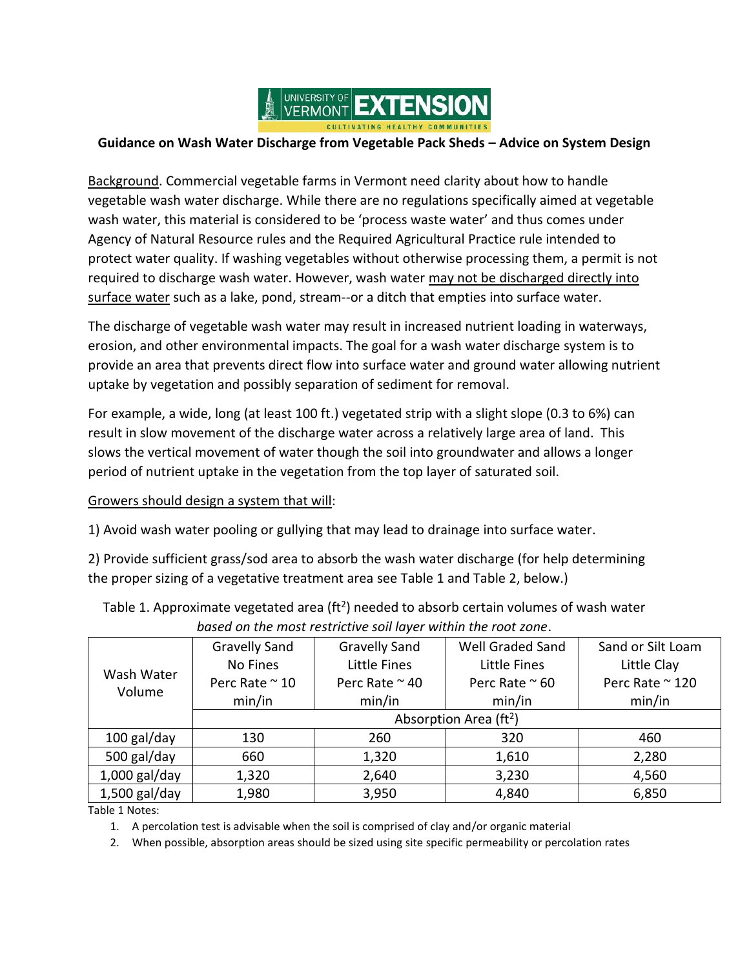

## **Guidance on Wash Water Discharge from Vegetable Pack Sheds – Advice on System Design**

Background. Commercial vegetable farms in Vermont need clarity about how to handle vegetable wash water discharge. While there are no regulations specifically aimed at vegetable wash water, this material is considered to be 'process waste water' and thus comes under Agency of Natural Resource rules and the Required Agricultural Practice rule intended to protect water quality. If washing vegetables without otherwise processing them, a permit is not required to discharge wash water. However, wash water may not be discharged directly into surface water such as a lake, pond, stream--or a ditch that empties into surface water.

The discharge of vegetable wash water may result in increased nutrient loading in waterways, erosion, and other environmental impacts. The goal for a wash water discharge system is to provide an area that prevents direct flow into surface water and ground water allowing nutrient uptake by vegetation and possibly separation of sediment for removal.

For example, a wide, long (at least 100 ft.) vegetated strip with a slight slope (0.3 to 6%) can result in slow movement of the discharge water across a relatively large area of land. This slows the vertical movement of water though the soil into groundwater and allows a longer period of nutrient uptake in the vegetation from the top layer of saturated soil.

## Growers should design a system that will:

1) Avoid wash water pooling or gullying that may lead to drainage into surface water.

2) Provide sufficient grass/sod area to absorb the wash water discharge (for help determining the proper sizing of a vegetative treatment area see Table 1 and Table 2, below.)

| <u>bused on the most restrictive son layer within the root zone.</u> |                                    |                        |                        |                   |  |  |  |
|----------------------------------------------------------------------|------------------------------------|------------------------|------------------------|-------------------|--|--|--|
| Wash Water<br>Volume                                                 | <b>Gravelly Sand</b>               | <b>Gravelly Sand</b>   | Well Graded Sand       | Sand or Silt Loam |  |  |  |
|                                                                      | No Fines                           | Little Fines           | <b>Little Fines</b>    | Little Clay       |  |  |  |
|                                                                      | Perc Rate $\approx$ 10             | Perc Rate $\approx$ 40 | Perc Rate $\approx$ 60 | Perc Rate ~ 120   |  |  |  |
|                                                                      | min/in                             | min/in                 | min/in                 | min/in            |  |  |  |
|                                                                      | Absorption Area (ft <sup>2</sup> ) |                        |                        |                   |  |  |  |
| 100 gal/day                                                          | 130                                | 260                    | 320                    | 460               |  |  |  |
| 500 gal/day                                                          | 660                                | 1,320                  | 1,610                  | 2,280             |  |  |  |
| $1,000$ gal/day                                                      | 1,320                              | 2,640                  | 3,230                  | 4,560             |  |  |  |
| $1,500$ gal/day                                                      | 1,980                              | 3,950                  | 4,840                  | 6,850             |  |  |  |

## Table 1. Approximate vegetated area (ft<sup>2</sup>) needed to absorb certain volumes of wash water *based on the most restrictive soil layer within the root zone*.

Table 1 Notes:

1. A percolation test is advisable when the soil is comprised of clay and/or organic material

2. When possible, absorption areas should be sized using site specific permeability or percolation rates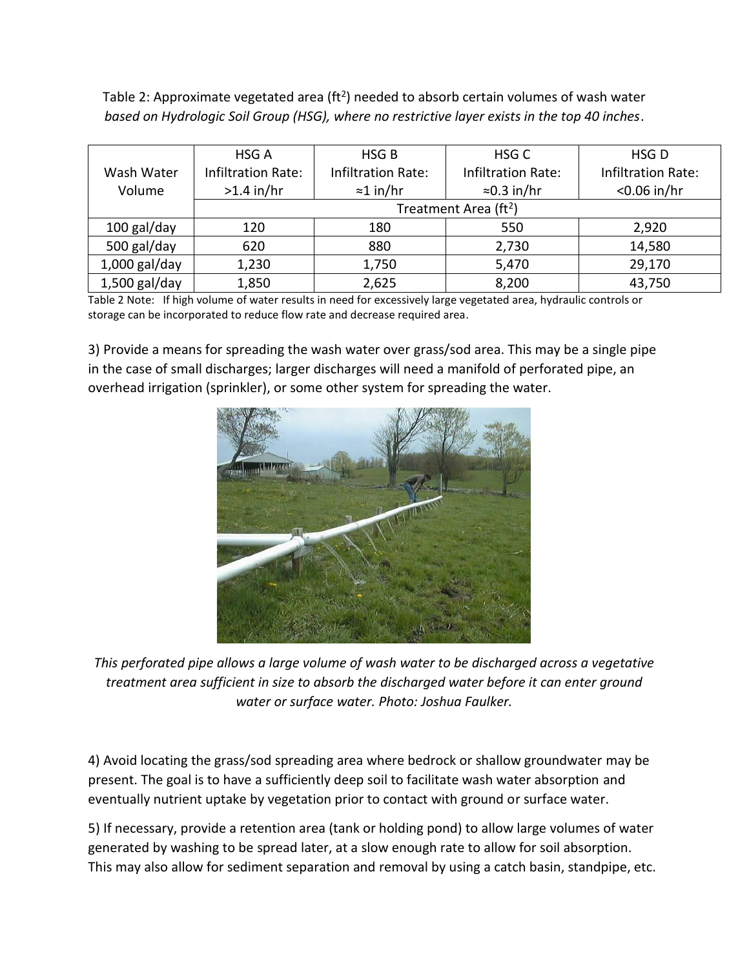Table 2: Approximate vegetated area (ft<sup>2</sup>) needed to absorb certain volumes of wash water *based on Hydrologic Soil Group (HSG), where no restrictive layer exists in the top 40 inches*.

|                 | HSG A                             | HSG <sub>B</sub>          | HSG <sub>C</sub>          | HSG <sub>D</sub>          |  |
|-----------------|-----------------------------------|---------------------------|---------------------------|---------------------------|--|
| Wash Water      | <b>Infiltration Rate:</b>         | <b>Infiltration Rate:</b> | <b>Infiltration Rate:</b> | <b>Infiltration Rate:</b> |  |
| Volume          | $>1.4$ in/hr                      | $\approx$ 1 in/hr         | $\approx$ 0.3 in/hr       | $<$ 0.06 in/hr            |  |
|                 | Treatment Area (ft <sup>2</sup> ) |                           |                           |                           |  |
| 100 gal/day     | 120                               | 180                       | 550                       | 2,920                     |  |
| 500 gal/day     | 620                               | 880                       | 2,730                     | 14,580                    |  |
| $1,000$ gal/day | 1,230                             | 1,750                     | 5,470                     | 29,170                    |  |
| $1,500$ gal/day | 1,850                             | 2,625                     | 8,200                     | 43,750                    |  |

Table 2 Note: If high volume of water results in need for excessively large vegetated area, hydraulic controls or storage can be incorporated to reduce flow rate and decrease required area.

3) Provide a means for spreading the wash water over grass/sod area. This may be a single pipe in the case of small discharges; larger discharges will need a manifold of perforated pipe, an overhead irrigation (sprinkler), or some other system for spreading the water.



*This perforated pipe allows a large volume of wash water to be discharged across a vegetative treatment area sufficient in size to absorb the discharged water before it can enter ground water or surface water. Photo: Joshua Faulker.*

4) Avoid locating the grass/sod spreading area where bedrock or shallow groundwater may be present. The goal is to have a sufficiently deep soil to facilitate wash water absorption and eventually nutrient uptake by vegetation prior to contact with ground or surface water.

5) If necessary, provide a retention area (tank or holding pond) to allow large volumes of water generated by washing to be spread later, at a slow enough rate to allow for soil absorption. This may also allow for sediment separation and removal by using a catch basin, standpipe, etc.